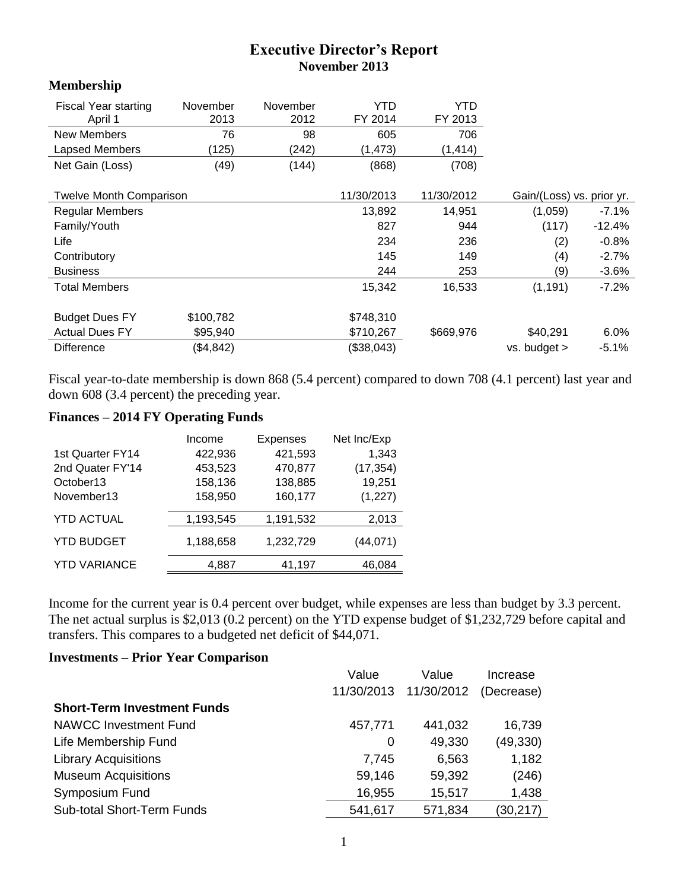## **Executive Director's Report November 2013**

## **Membership**

| Fiscal Year starting<br>April 1 | November<br>2013 | November<br>2012 | YTD<br>FY 2014 | YTD<br>FY 2013 |                           |          |
|---------------------------------|------------------|------------------|----------------|----------------|---------------------------|----------|
| New Members                     | 76               | 98               | 605            | 706            |                           |          |
| Lapsed Members                  | (125)            | (242)            | (1, 473)       | (1, 414)       |                           |          |
| Net Gain (Loss)                 | (49)             | (144)            | (868)          | (708)          |                           |          |
| <b>Twelve Month Comparison</b>  |                  |                  | 11/30/2013     | 11/30/2012     | Gain/(Loss) vs. prior yr. |          |
| <b>Regular Members</b>          |                  |                  | 13,892         | 14,951         | (1,059)                   | $-7.1\%$ |
| Family/Youth                    |                  |                  | 827            | 944            | (117)                     | $-12.4%$ |
| Life                            |                  |                  | 234            | 236            | (2)                       | $-0.8%$  |
| Contributory                    |                  |                  | 145            | 149            | (4)                       | $-2.7%$  |
| <b>Business</b>                 |                  |                  | 244            | 253            | (9)                       | $-3.6%$  |
| <b>Total Members</b>            |                  |                  | 15,342         | 16,533         | (1, 191)                  | $-7.2%$  |
| <b>Budget Dues FY</b>           | \$100,782        |                  | \$748,310      |                |                           |          |
| <b>Actual Dues FY</b>           | \$95,940         |                  | \$710,267      | \$669,976      | \$40,291                  | 6.0%     |
| <b>Difference</b>               | (\$4,842)        |                  | (\$38,043)     |                | vs. budget >              | $-5.1%$  |

Fiscal year-to-date membership is down 868 (5.4 percent) compared to down 708 (4.1 percent) last year and down 608 (3.4 percent) the preceding year.

## **Finances – 2014 FY Operating Funds**

|                     | Income    | <b>Expenses</b> | Net Inc/Exp |  |
|---------------------|-----------|-----------------|-------------|--|
| 1st Quarter FY14    | 422,936   | 421,593         | 1,343       |  |
| 2nd Quater FY'14    | 453,523   | 470,877         | (17, 354)   |  |
| October13           | 158,136   | 138,885         | 19,251      |  |
| November13          | 158,950   | 160,177         | (1, 227)    |  |
| <b>YTD ACTUAL</b>   | 1,193,545 | 1,191,532       | 2,013       |  |
| <b>YTD BUDGET</b>   | 1,188,658 | 1,232,729       | (44,071)    |  |
| <b>YTD VARIANCE</b> | 4,887     | 41,197          | 46,084      |  |

Income for the current year is 0.4 percent over budget, while expenses are less than budget by 3.3 percent. The net actual surplus is \$2,013 (0.2 percent) on the YTD expense budget of \$1,232,729 before capital and transfers. This compares to a budgeted net deficit of \$44,071.

## **Investments – Prior Year Comparison**

|                                    | Value      | Value      | Increase   |
|------------------------------------|------------|------------|------------|
|                                    | 11/30/2013 | 11/30/2012 | (Decrease) |
| <b>Short-Term Investment Funds</b> |            |            |            |
| <b>NAWCC Investment Fund</b>       | 457,771    | 441,032    | 16,739     |
| Life Membership Fund               | 0          | 49,330     | (49, 330)  |
| <b>Library Acquisitions</b>        | 7,745      | 6,563      | 1,182      |
| <b>Museum Acquisitions</b>         | 59,146     | 59,392     | (246)      |
| Symposium Fund                     | 16,955     | 15,517     | 1,438      |
| <b>Sub-total Short-Term Funds</b>  | 541,617    | 571,834    | (30,217)   |